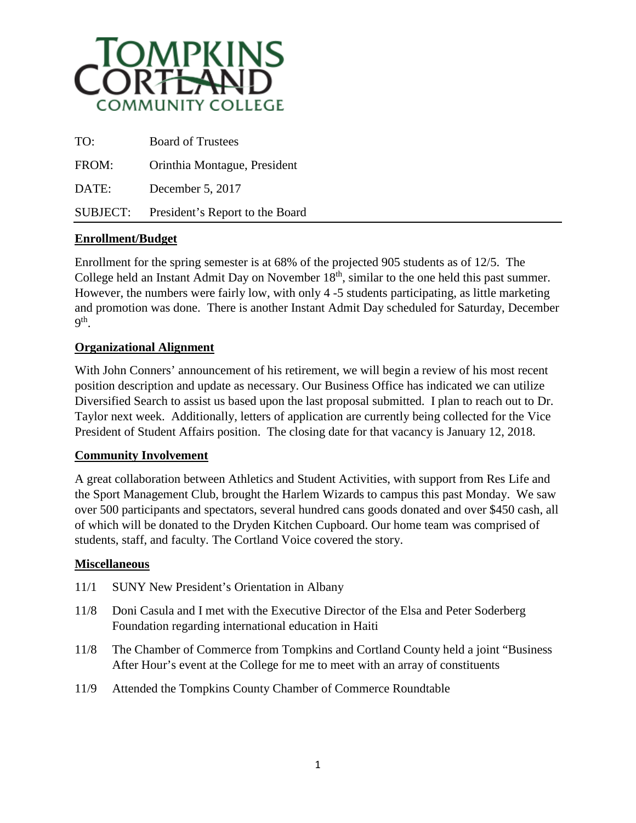

| TO:             | <b>Board of Trustees</b>        |
|-----------------|---------------------------------|
| FROM:           | Orinthia Montague, President    |
| DATE:           | December 5, 2017                |
| <b>SUBJECT:</b> | President's Report to the Board |

## **Enrollment/Budget**

Enrollment for the spring semester is at 68% of the projected 905 students as of 12/5. The College held an Instant Admit Day on November 18<sup>th</sup>, similar to the one held this past summer. However, the numbers were fairly low, with only 4 -5 students participating, as little marketing and promotion was done. There is another Instant Admit Day scheduled for Saturday, December 9th.

## **Organizational Alignment**

With John Conners' announcement of his retirement, we will begin a review of his most recent position description and update as necessary. Our Business Office has indicated we can utilize Diversified Search to assist us based upon the last proposal submitted. I plan to reach out to Dr. Taylor next week. Additionally, letters of application are currently being collected for the Vice President of Student Affairs position. The closing date for that vacancy is January 12, 2018.

## **Community Involvement**

A great collaboration between Athletics and Student Activities, with support from Res Life and the Sport Management Club, brought the Harlem Wizards to campus this past Monday. We saw over 500 participants and spectators, several hundred cans goods donated and over \$450 cash, all of which will be donated to the Dryden Kitchen Cupboard. Our home team was comprised of students, staff, and faculty. The Cortland Voice covered the story.

## **Miscellaneous**

- 11/1 SUNY New President's Orientation in Albany
- 11/8 Doni Casula and I met with the Executive Director of the Elsa and Peter Soderberg Foundation regarding international education in Haiti
- 11/8 The Chamber of Commerce from Tompkins and Cortland County held a joint "Business After Hour's event at the College for me to meet with an array of constituents
- 11/9 Attended the Tompkins County Chamber of Commerce Roundtable